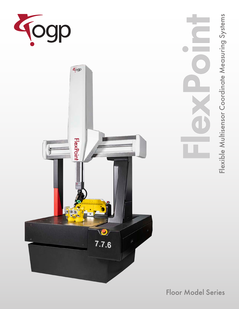



Flexx in

Floor Model Series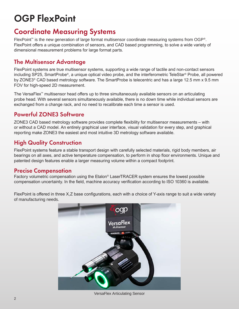# OGP FlexPoint

## Coordinate Measuring Systems

FlexPoint™ is the new generation of large format multisensor coordinate measuring systems from OGP®. FlexPoint offers a unique combination of sensors, and CAD based programming, to solve a wide variety of dimensional measurement problems for large format parts.

## The Multisensor Advantage

FlexPoint systems are true multisensor systems, supporting a wide range of tactile and non-contact sensors including SP25, SmartProbe®, a unique optical video probe, and the interferometric TeleStar® Probe, all powered by ZONE3® CAD based metrology software. The SmartProbe is telecentric and has a large 12.5 mm x 9.5 mm FOV for high-speed 2D measurement.

The VersaFlex™ multisensor head offers up to three simultaneously available sensors on an articulating probe head. With several sensors simultaneously available, there is no down time while individual sensors are exchanged from a change rack, and no need to recalibrate each time a sensor is used.

## Powerful ZONE3 Software

ZONE3 CAD based metrology software provides complete flexibility for multisensor measurements – with or without a CAD model. An entirely graphical user interface, visual validation for every step, and graphical reporting make ZONE3 the easiest and most intuitive 3D metrology software available.

## High Quality Construction

FlexPoint systems feature a stable transport design with carefully selected materials, rigid body members, air bearings on all axes, and active temperature compensation, to perform in shop floor environments. Unique and patented design features enable a larger measuring volume within a compact footprint.

### Precise Compensation

Factory volumetric compensation using the Etalon® LaserTRACER system ensures the lowest possible compensation uncertainty. In the field, machine accuracy verification according to ISO 10360 is available.

FlexPoint is offered in three X,Z base configurations, each with a choice of Y-axis range to suit a wide variety of manufacturing needs.



VersaFlex Articulating Sensor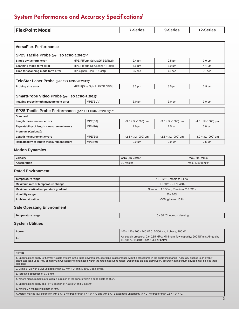## System Performance and Accuracy Specifications<sup>1</sup>

| <b>FlexPoint Model</b><br>тех | <b>Series</b> | _____ |
|-------------------------------|---------------|-------|
|-------------------------------|---------------|-------|

| <b>VersaFlex Performance</b>                                                                    |         |                               |                      |                      |                      |  |  |  |  |  |
|-------------------------------------------------------------------------------------------------|---------|-------------------------------|----------------------|----------------------|----------------------|--|--|--|--|--|
| SP25 Tactile Probe (per ISO 10360-5:2020) <sup>2,3</sup>                                        |         |                               |                      |                      |                      |  |  |  |  |  |
| Single stylus form error                                                                        |         | MPE(P[Form.Sph.1x25:SS:Tact]) | $2.4 \mu m$          | $2.5 \mu m$          | $3.0 \mu m$          |  |  |  |  |  |
| Scanning mode form error                                                                        |         | MPE(P[Form.Sph.Scan:PP:Tact]) | $3.6 \mu m$          | $3.9 \mu m$          | $4.1 \mu m$          |  |  |  |  |  |
| Time for scanning mode form error                                                               |         | MPL(τ[Sph.Scan:PP:Tact])      | $65$ sec             | $65$ sec             | 70 sec               |  |  |  |  |  |
|                                                                                                 |         |                               |                      |                      |                      |  |  |  |  |  |
| TeleStar Laser Probe (per ISO 10360-8:2013) <sup>4</sup>                                        |         |                               |                      |                      |                      |  |  |  |  |  |
| Probing size error                                                                              |         | MPE(P[Size.Sph.1x25:TR:ODS])  | $3.5 \mu m$          | $3.5 \mu m$          | $3.5 \mu m$          |  |  |  |  |  |
|                                                                                                 |         |                               |                      |                      |                      |  |  |  |  |  |
| SmartProbe Video Probe (per ISO 10360-7:2011) <sup>5</sup>                                      |         |                               |                      |                      |                      |  |  |  |  |  |
| MPE(EUV)<br>Imaging probe length measurement error<br>$3.0 \mu m$<br>$3.0 \mu m$<br>$3.0 \mu m$ |         |                               |                      |                      |                      |  |  |  |  |  |
|                                                                                                 |         |                               |                      |                      |                      |  |  |  |  |  |
| SP25 Tactile Probe Performance (per ISO 10360-2:2009) <sup>2,6,7</sup>                          |         |                               |                      |                      |                      |  |  |  |  |  |
| Standard:                                                                                       |         |                               |                      |                      |                      |  |  |  |  |  |
| Length measurement errors                                                                       | MPE(E0) | $(3.0 + 5L/1000)$ µm          | $(3.5 + 5L/1000)$ µm | $(4.0 + 5L/1000)$ µm |                      |  |  |  |  |  |
| Repeatability of length measurement errors                                                      | MPL(RO) | $2.0 \mu m$                   | $2.5 \mu m$          | $3.0 \mu m$          |                      |  |  |  |  |  |
| Premium (Optional):                                                                             |         |                               |                      |                      |                      |  |  |  |  |  |
| Length measurement errors                                                                       |         | MPE(E0)                       | $(2.5 + 3L/1000)$ µm | $(2.5 + 3L/1000)$ µm | $(3.0 + 3L/1000)$ µm |  |  |  |  |  |
| Repeatability of length measurement errors                                                      |         | MPL(RO)                       | $2.0 \mu m$          | $2.0 \mu m$          | $2.5 \mu m$          |  |  |  |  |  |

#### **Motion Dynamics**

| Velocity     | (3D Vector)<br>CNC. | .500 mm/s<br>max               |
|--------------|---------------------|--------------------------------|
| Acceleration | 3D Vector           | 1250 mm/s <sup>2</sup><br>max. |

#### **Rated Environment**

| Temperature range                     | 18 - 22 °C, stable to $\pm$ 1 °C      |  |  |  |
|---------------------------------------|---------------------------------------|--|--|--|
| Maximum rate of temperature change    | $1.0 °C/h - 2.0 °C/24h$               |  |  |  |
| Maximum vertical temperature gradient | Standard: 1.0 °C/m, Premium: 2.0 °C/m |  |  |  |
| <b>Humidity range</b>                 | $30 - 80\%$                           |  |  |  |
| <b>Ambient vibration</b>              | $<$ 500 $\mu$ g below 15 Hz           |  |  |  |

#### **Safe Operating Environment**

| Temner<br>erange<br><i>e</i> rature | $30^{\circ}$ C<br>non-condensing<br>$\cdot$ . |
|-------------------------------------|-----------------------------------------------|

#### **System Utilities**

| Power | 100 - 120 / 200 - 240 VAC, 50/60 Hz, 1 phase, 700 W                                                                          |
|-------|------------------------------------------------------------------------------------------------------------------------------|
| Air   | Air supply pressure: 0.6-0.85 MPa; Minimum flow capacity: 200 NI/min; Air quality<br>I ISO 8573-1:2010 Class 4.3.4 or better |

**NOTES** 1. Specifications apply to thermally stable system in the rated environment, operating in accordance with the procedures in the operating manual. Accuracy applies to an evenly distributed load up to 10% of maximum workpiece weight placed within the rated measuring range. Depending on load distribution, accuracy at maximum payload may be less than standard. 2. Using SP25 with SM25-2 module with 3.0 mm x 21 mm A-5000-3553 stylus. 3. Target tip deflection of 0.35 mm. 4. Where measurements are taken in a region of the sphere within a cone angle of 150°. 5. Specifications apply at a PH10 position of A-axis 0° and B-axis 0°. 6. Where  $L =$  measuring length in mm.

7. Artifact may be low expansion with a CTE no greater than 1 × 10<sup>-6</sup> / °C and with a CTE expanded uncertainty (k = 2) no greater than 0.5 × 10<sup>-6</sup> / °C.